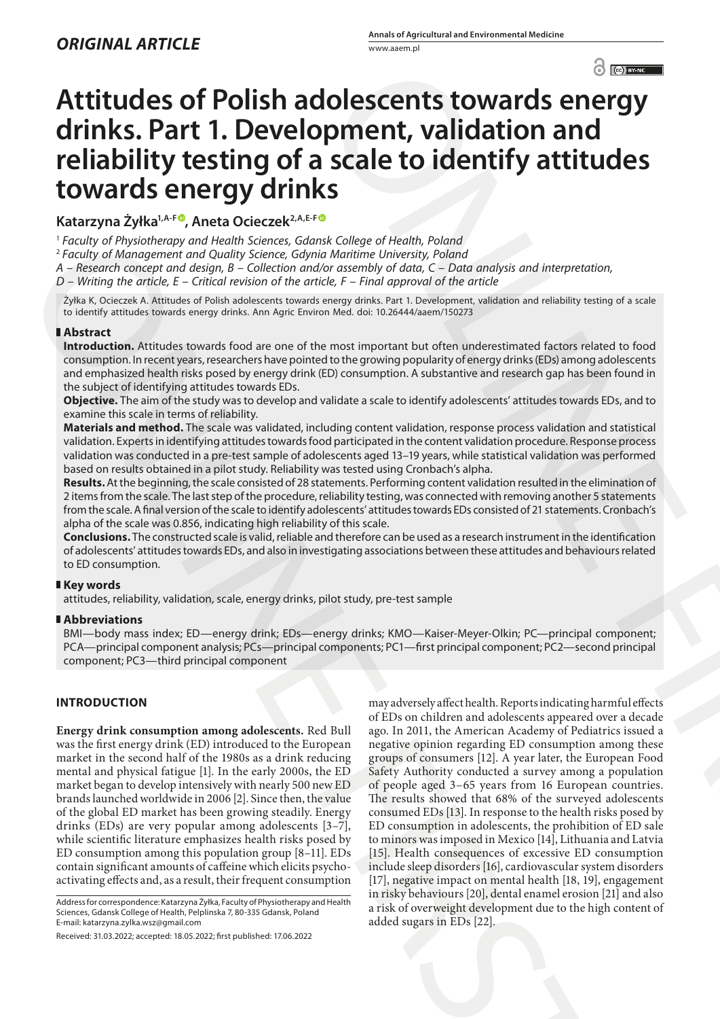# **Attitudes of Polish adolescents towards energy drinks. Part 1. Development, validation and reliability testing of a scale to identify attitudes towards energy drinks**

Katarzyna Żyłka<sup>1,A-F®</sup>, Aneta Ocieczek<sup>2,A,E-F®</sup>

<sup>1</sup> *Faculty of Physiotherapy and Health Sciences, Gdansk College of Health, Poland*

<sup>2</sup> *Faculty of Management and Quality Science, Gdynia Maritime University, Poland*

*A – Research concept and design, B – Collection and/or assembly of data, C – Data analysis and interpretation,* 

*D – Writing the article, E – Critical revision of the article, F – Final approval of the article*

Żyłka K, Ocieczek A. Attitudes of Polish adolescents towards energy drinks. Part 1. Development, validation and reliability testing of a scale to identify attitudes towards energy drinks. Ann Agric Environ Med. doi: 10.26444/aaem/150273

# **Abstract**

**Introduction.** Attitudes towards food are one of the most important but often underestimated factors related to food consumption. In recent years, researchers have pointed to the growing popularity of energy drinks (EDs) among adolescents and emphasized health risks posed by energy drink (ED) consumption. A substantive and research gap has been found in the subject of identifying attitudes towards EDs.

**Objective.** The aim of the study was to develop and validate a scale to identify adolescents' attitudes towards EDs, and to examine this scale in terms of reliability.

**Materials and method.** The scale was validated, including content validation, response process validation and statistical validation. Experts in identifying attitudes towards food participated in the content validation procedure. Response process validation was conducted in a pre-test sample of adolescents aged 13–19 years, while statistical validation was performed based on results obtained in a pilot study. Reliability was tested using Cronbach's alpha.

**Results.** At the beginning, the scale consisted of 28 statements. Performing content validation resulted in the elimination of 2 items from the scale. The last step of the procedure, reliability testing, was connected with removing another 5 statements from the scale. A final version of the scale to identify adolescents' attitudes towards EDs consisted of 21 statements. Cronbach's alpha of the scale was 0.856, indicating high reliability of this scale.

**Conclusions.** The constructed scale is valid, reliable and therefore can be used as a research instrument in the identification of adolescents' attitudes towards EDs, and also in investigating associations between these attitudes and behaviours related to ED consumption.

# **Key words**

attitudes, reliability, validation, scale, energy drinks, pilot study, pre-test sample

# **Abbreviations**

BMI—body mass index; ED—energy drink; EDs—energy drinks; KMO—Kaiser-Meyer-Olkin; PC—principal component; PCA—principal component analysis; PCs—principal components; PC1—first principal component; PC2—second principal component; PC3—third principal component

# **INTRODUCTION**

**Energy drink consumption among adolescents.** Red Bull was the first energy drink (ED) introduced to the European market in the second half of the 1980s as a drink reducing mental and physical fatigue [1]. In the early 2000s, the ED market began to develop intensively with nearly 500 new ED brands launched worldwide in 2006 [2]. Since then, the value of the global ED market has been growing steadily. Energy drinks (EDs) are very popular among adolescents [3–7], while scientific literature emphasizes health risks posed by ED consumption among this population group [8–11]. EDs contain significant amounts of caffeine which elicits psychoactivating effects and, as a result, their frequent consumption

may adversely affect health. Reports indicating harmful effects of EDs on children and adolescents appeared over a decade ago. In 2011, the American Academy of Pediatrics issued a negative opinion regarding ED consumption among these groups of consumers [12]. A year later, the European Food Safety Authority conducted a survey among a population of people aged 3–65 years from 16 European countries. The results showed that 68% of the surveyed adolescents consumed EDs [13]. In response to the health risks posed by ED consumption in adolescents, the prohibition of ED sale to minors was imposed in Mexico [14], Lithuania and Latvia [15]. Health consequences of excessive ED consumption include sleep disorders [16], cardiovascular system disorders [17], negative impact on mental health [18, 19], engagement in risky behaviours [20], dental enamel erosion [21] and also a risk of overweight development due to the high content of added sugars in EDs [22]. College of Heath, **both and the state of the state of the state of the state of the state of the state of the state of the state of the state of the state of the state of the state of the state of the state of the state o** 17 analytic Physiologenap and Pharidin Schemes, Galand College of Predix Pharidin Marine Constrained and College of Predix and College of Predix and College of Predix and College of Predix and College of Predix and Colle

Address for correspondence: Katarzyna Żyłka, Faculty of Physiotherapy and Health Sciences, Gdansk College of Health, Pelplinska 7, 80-335 Gdansk, Poland E-mail: katarzyna.zylka.wsz@gmail.com

Received: 31.03.2022; accepted: 18.05.2022; first published: 17.06.2022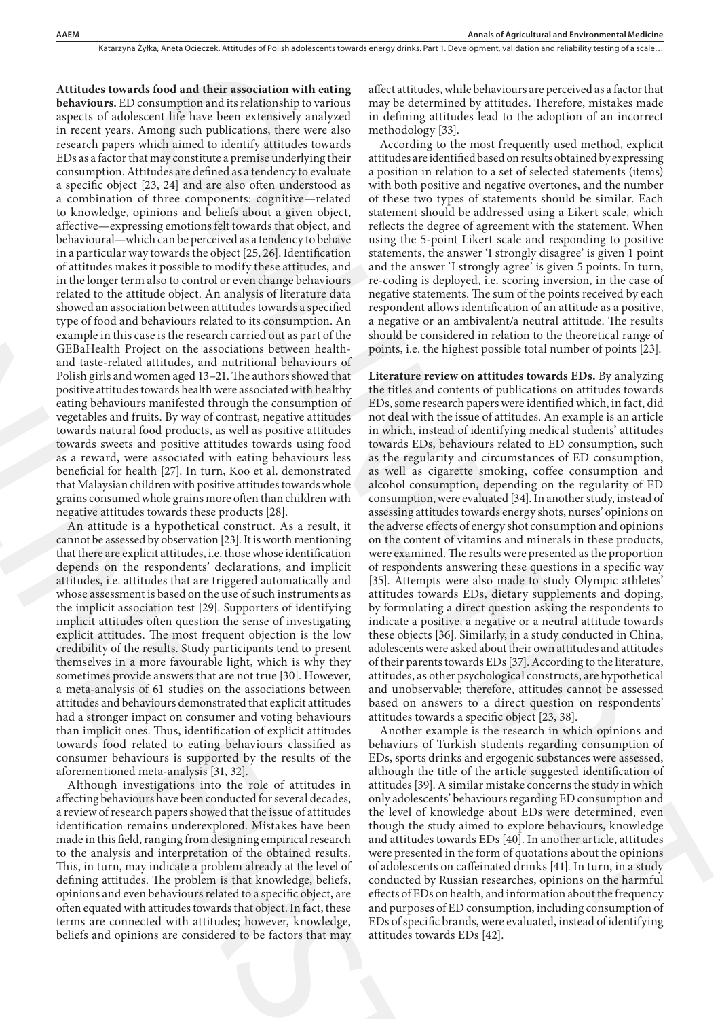**Attitudes towards food and their association with eating behaviours.** ED consumption and its relationship to various aspects of adolescent life have been extensively analyzed in recent years. Among such publications, there were also research papers which aimed to identify attitudes towards EDs as a factor that may constitute a premise underlying their consumption. Attitudes are defined as a tendency to evaluate a specific object [23, 24] and are also often understood as a combination of three components: cognitive—related to knowledge, opinions and beliefs about a given object, affective—expressing emotions felt towards that object, and behavioural—which can be perceived as a tendency to behave in a particular way towards the object [25, 26]. Identification of attitudes makes it possible to modify these attitudes, and in the longer term also to control or even change behaviours related to the attitude object. An analysis of literature data showed an association between attitudes towards a specified type of food and behaviours related to its consumption. An example in this case is the research carried out as part of the GEBaHealth Project on the associations between healthand taste-related attitudes, and nutritional behaviours of Polish girls and women aged 13–21. The authors showed that positive attitudes towards health were associated with healthy eating behaviours manifested through the consumption of vegetables and fruits. By way of contrast, negative attitudes towards natural food products, as well as positive attitudes towards sweets and positive attitudes towards using food as a reward, were associated with eating behaviours less beneficial for health [27]. In turn, Koo et al. demonstrated that Malaysian children with positive attitudes towards whole grains consumed whole grains more often than children with negative attitudes towards these products [28]. behavioral —which can be precised a sate network using the<br>havioral density in a particular way towards the object (25,26). Mentitation statement<br>of a titute in a particular way towards the order there are the proposition

An attitude is a hypothetical construct. As a result, it cannot be assessed by observation [23]. It is worth mentioning that there are explicit attitudes, i.e. those whose identification depends on the respondents' declarations, and implicit attitudes, i.e. attitudes that are triggered automatically and whose assessment is based on the use of such instruments as the implicit association test [29]. Supporters of identifying implicit attitudes often question the sense of investigating explicit attitudes. The most frequent objection is the low credibility of the results. Study participants tend to present themselves in a more favourable light, which is why they sometimes provide answers that are not true [30]. However, a meta-analysis of 61 studies on the associations between attitudes and behaviours demonstrated that explicit attitudes had a stronger impact on consumer and voting behaviours than implicit ones. Thus, identification of explicit attitudes towards food related to eating behaviours classified as consumer behaviours is supported by the results of the aforementioned meta-analysis [31, 32].

Although investigations into the role of attitudes in affecting behaviours have been conducted for several decades, a review of research papers showed that the issue of attitudes identification remains underexplored. Mistakes have been made in this field, ranging from designing empirical research to the analysis and interpretation of the obtained results. This, in turn, may indicate a problem already at the level of defining attitudes. The problem is that knowledge, beliefs, opinions and even behaviours related to a specific object, are often equated with attitudes towards that object. In fact, these terms are connected with attitudes; however, knowledge, beliefs and opinions are considered to be factors that may

affect attitudes, while behaviours are perceived as a factor that may be determined by attitudes. Therefore, mistakes made in defining attitudes lead to the adoption of an incorrect methodology [33].

According to the most frequently used method, explicit attitudes are identified based on results obtained by expressing a position in relation to a set of selected statements (items) with both positive and negative overtones, and the number of these two types of statements should be similar. Each statement should be addressed using a Likert scale, which reflects the degree of agreement with the statement. When using the 5-point Likert scale and responding to positive statements, the answer 'I strongly disagree' is given 1 point and the answer 'I strongly agree' is given 5 points. In turn, re-coding is deployed, i.e. scoring inversion, in the case of negative statements. The sum of the points received by each respondent allows identification of an attitude as a positive, a negative or an ambivalent/a neutral attitude. The results should be considered in relation to the theoretical range of points, i.e. the highest possible total number of points [23].

**Literature review on attitudes towards EDs.** By analyzing the titles and contents of publications on attitudes towards EDs, some research papers were identified which, in fact, did not deal with the issue of attitudes. An example is an article in which, instead of identifying medical students' attitudes towards EDs, behaviours related to ED consumption, such as the regularity and circumstances of ED consumption, as well as cigarette smoking, coffee consumption and alcohol consumption, depending on the regularity of ED consumption, were evaluated [34]. In another study, instead of assessing attitudes towards energy shots, nurses' opinions on the adverse effects of energy shot consumption and opinions on the content of vitamins and minerals in these products, were examined. The results were presented as the proportion of respondents answering these questions in a specific way [35]. Attempts were also made to study Olympic athletes' attitudes towards EDs, dietary supplements and doping, by formulating a direct question asking the respondents to indicate a positive, a negative or a neutral attitude towards these objects [36]. Similarly, in a study conducted in China, adolescents were asked about their own attitudes and attitudes of their parents towards EDs [37]. According to the literature, attitudes, as other psychological constructs, are hypothetical and unobservable; therefore, attitudes cannot be assessed based on answers to a direct question on respondents' attitudes towards a specific object [23, 38]. Is food and their mass<br>channel with exting a trierativation, solic behavious are previous and<br>anomogene and consider the similar term in the similar term in the similar term<br>in the similar mass of the similar term in the

Another example is the research in which opinions and behaviurs of Turkish students regarding consumption of EDs, sports drinks and ergogenic substances were assessed, although the title of the article suggested identification of attitudes [39]. A similar mistake concerns the study in which only adolescents' behaviours regarding ED consumption and the level of knowledge about EDs were determined, even though the study aimed to explore behaviours, knowledge and attitudes towards EDs [40]. In another article, attitudes were presented in the form of quotations about the opinions of adolescents on caffeinated drinks [41]. In turn, in a study conducted by Russian researches, opinions on the harmful effects of EDs on health, and information about the frequency and purposes of ED consumption, including consumption of EDs of specific brands, were evaluated, instead of identifying attitudes towards EDs [42].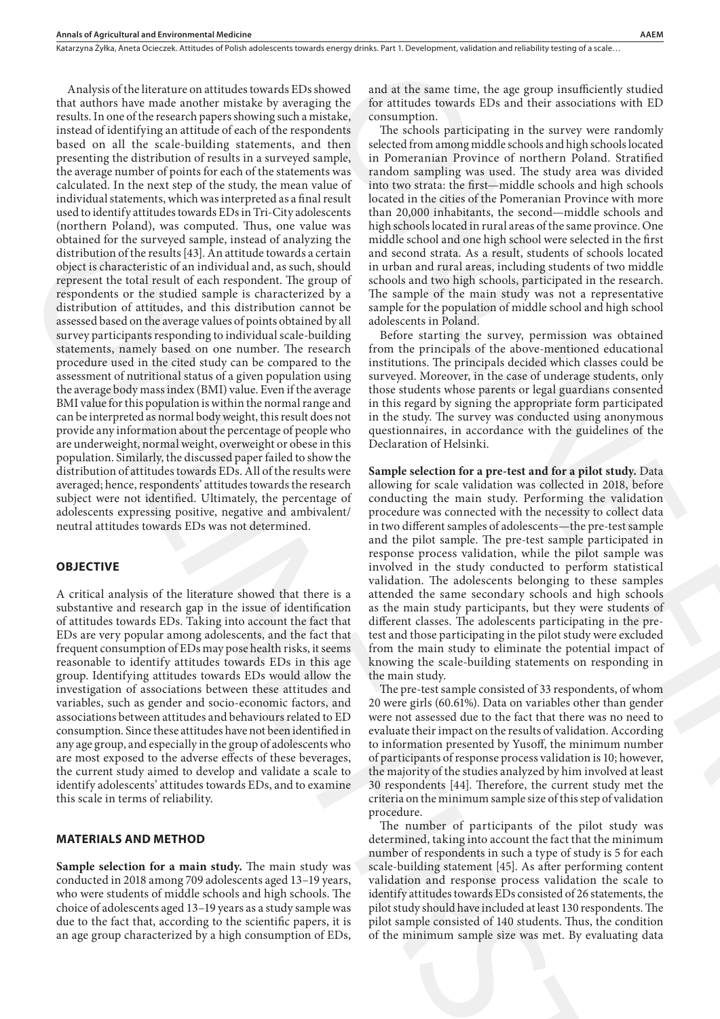Analysis of the literature on attitudes towards EDs showed that authors have made another mistake by averaging the results. In one of the research papers showing such a mistake, instead of identifying an attitude of each of the respondents based on all the scale-building statements, and then presenting the distribution of results in a surveyed sample, the average number of points for each of the statements was calculated. In the next step of the study, the mean value of individual statements, which was interpreted as a final result used to identify attitudes towards EDs in Tri-City adolescents (northern Poland), was computed. Thus, one value was obtained for the surveyed sample, instead of analyzing the distribution of the results [43]. An attitude towards a certain object is characteristic of an individual and, as such, should represent the total result of each respondent. The group of respondents or the studied sample is characterized by a distribution of attitudes, and this distribution cannot be assessed based on the average values of points obtained by all survey participants responding to individual scale-building statements, namely based on one number. The research procedure used in the cited study can be compared to the assessment of nutritional status of a given population using the average body mass index (BMI) value. Even if the average BMI value for this population is within the normal range and can be interpreted as normal body weight, this result does not provide any information about the percentage of people who are underweight, normal weight, overweight or obese in this population. Similarly, the discussed paper failed to show the distribution of attitudes towards EDs. All of the results were averaged; hence, respondents' attitudes towards the research subject were not identified. Ultimately, the percentage of adolescents expressing positive, negative and ambivalent/ neutral attitudes towards EDs was not determined. distinctive two strained to the same stationary in the same stationary and the same stationary and the same stationary and the same stationary and the same stationary and the same stationary and the same stationary and th

### **OBJECTIVE**

A critical analysis of the literature showed that there is a substantive and research gap in the issue of identification of attitudes towards EDs. Taking into account the fact that EDs are very popular among adolescents, and the fact that frequent consumption of EDs may pose health risks, it seems reasonable to identify attitudes towards EDs in this age group. Identifying attitudes towards EDs would allow the investigation of associations between these attitudes and variables, such as gender and socio-economic factors, and associations between attitudes and behaviours related to ED consumption. Since these attitudes have not been identified in any age group, and especially in the group of adolescents who are most exposed to the adverse effects of these beverages, the current study aimed to develop and validate a scale to identify adolescents' attitudes towards EDs, and to examine this scale in terms of reliability.

## **MATERIALS AND METHOD**

**Sample selection for a main study.** The main study was conducted in 2018 among 709 adolescents aged 13–19 years, who were students of middle schools and high schools. The choice of adolescents aged 13–19 years as a study sample was due to the fact that, according to the scientific papers, it is an age group characterized by a high consumption of EDs,

and at the same time, the age group insufficiently studied for attitudes towards EDs and their associations with ED consumption.

The schools participating in the survey were randomly selected from among middle schools and high schools located in Pomeranian Province of northern Poland. Stratified random sampling was used. The study area was divided into two strata: the first—middle schools and high schools located in the cities of the Pomeranian Province with more than 20,000 inhabitants, the second—middle schools and high schools located in rural areas of the same province. One middle school and one high school were selected in the first and second strata. As a result, students of schools located in urban and rural areas, including students of two middle schools and two high schools, participated in the research. The sample of the main study was not a representative sample for the population of middle school and high school adolescents in Poland.

Before starting the survey, permission was obtained from the principals of the above-mentioned educational institutions. The principals decided which classes could be surveyed. Moreover, in the case of underage students, only those students whose parents or legal guardians consented in this regard by signing the appropriate form participated in the study. The survey was conducted using anonymous questionnaires, in accordance with the guidelines of the Declaration of Helsinki.

**Sample selection for a pre-test and for a pilot study.** Data allowing for scale validation was collected in 2018, before conducting the main study. Performing the validation procedure was connected with the necessity to collect data in two different samples of adolescents—the pre-test sample and the pilot sample. The pre-test sample participated in response process validation, while the pilot sample was involved in the study conducted to perform statistical validation. The adolescents belonging to these samples attended the same secondary schools and high schools as the main study participants, but they were students of different classes. The adolescents participating in the pretest and those participating in the pilot study were excluded from the main study to eliminate the potential impact of knowing the scale-building statements on responding in the main study. ovel and at the same time, the age group insoficiently studied<br>g the for attitudes towards EDs and their associations with ED<br>takes, consumption.<br>
Consumption.<br>
The factool participating in the survey wave randomly then ei

The pre-test sample consisted of 33 respondents, of whom 20 were girls (60.61%). Data on variables other than gender were not assessed due to the fact that there was no need to evaluate their impact on the results of validation. According to information presented by Yusoff, the minimum number of participants of response process validation is 10; however, the majority of the studies analyzed by him involved at least 30 respondents [44]. Therefore, the current study met the criteria on the minimum sample size of this step of validation procedure.

The number of participants of the pilot study was determined, taking into account the fact that the minimum number of respondents in such a type of study is 5 for each scale-building statement [45]. As after performing content validation and response process validation the scale to identify attitudes towards EDs consisted of 26 statements, the pilot study should have included at least 130 respondents. The pilot sample consisted of 140 students. Thus, the condition of the minimum sample size was met. By evaluating data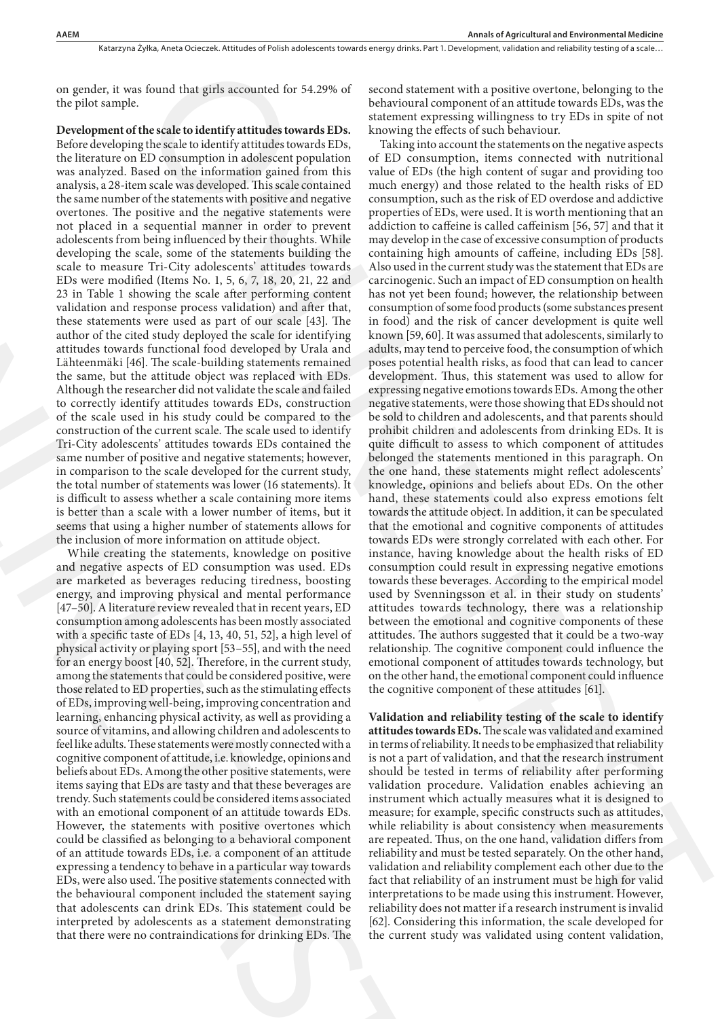on gender, it was found that girls accounted for 54.29% of the pilot sample.

**Development of the scale to identify attitudes towards EDs.**  Before developing the scale to identify attitudes towards EDs, the literature on ED consumption in adolescent population was analyzed. Based on the information gained from this analysis, a 28-item scale was developed. This scale contained the same number of the statements with positive and negative overtones. The positive and the negative statements were not placed in a sequential manner in order to prevent adolescents from being influenced by their thoughts. While developing the scale, some of the statements building the scale to measure Tri-City adolescents' attitudes towards EDs were modified (Items No. 1, 5, 6, 7, 18, 20, 21, 22 and 23 in Table 1 showing the scale after performing content validation and response process validation) and after that, these statements were used as part of our scale [43]. The author of the cited study deployed the scale for identifying attitudes towards functional food developed by Urala and Lähteenmäki [46]. The scale-building statements remained the same, but the attitude object was replaced with EDs. Although the researcher did not validate the scale and failed to correctly identify attitudes towards EDs, construction of the scale used in his study could be compared to the construction of the current scale. The scale used to identify Tri-City adolescents' attitudes towards EDs contained the same number of positive and negative statements; however, in comparison to the scale developed for the current study, the total number of statements was lower (16 statements). It is difficult to assess whether a scale containing more items is better than a scale with a lower number of items, but it seems that using a higher number of statements allows for the inclusion of more information on attitude object.

While creating the statements, knowledge on positive and negative aspects of ED consumption was used. EDs are marketed as beverages reducing tiredness, boosting energy, and improving physical and mental performance [47–50]. A literature review revealed that in recent years, ED consumption among adolescents has been mostly associated with a specific taste of EDs [4, 13, 40, 51, 52], a high level of physical activity or playing sport [53–55], and with the need for an energy boost [40, 52]. Therefore, in the current study, among the statements that could be considered positive, were those related to ED properties, such as the stimulating effects of EDs, improving well-being, improving concentration and learning, enhancing physical activity, as well as providing a source of vitamins, and allowing children and adolescents to feel like adults. These statements were mostly connected with a cognitive component of attitude, i.e. knowledge, opinions and beliefs about EDs. Among the other positive statements, were items saying that EDs are tasty and that these beverages are trendy. Such statements could be considered items associated with an emotional component of an attitude towards EDs. However, the statements with positive overtones which could be classified as belonging to a behavioral component of an attitude towards EDs, i.e. a component of an attitude expressing a tendency to behave in a particular way towards EDs, were also used. The positive statements connected with the behavioural component included the statement saying that adolescents can drink EDs. This statement could be interpreted by adolescents as a statement demonstrating that there were no contraindications for drinking EDs. The adeleccent from being influenced tylicit through two lengths within may developing the scale, some of the statements building the containt<br>scale to message in the statements building the containt<br>scale to message in the s

second statement with a positive overtone, belonging to the behavioural component of an attitude towards EDs, was the statement expressing willingness to try EDs in spite of not knowing the effects of such behaviour.

Taking into account the statements on the negative aspects of ED consumption, items connected with nutritional value of EDs (the high content of sugar and providing too much energy) and those related to the health risks of ED consumption, such as the risk of ED overdose and addictive properties of EDs, were used. It is worth mentioning that an addiction to caffeine is called caffeinism [56, 57] and that it may develop in the case of excessive consumption of products containing high amounts of caffeine, including EDs [58]. Also used in the current study was the statement that EDs are carcinogenic. Such an impact of ED consumption on health has not yet been found; however, the relationship between consumption of some food products (some substances present in food) and the risk of cancer development is quite well known [59, 60]. It was assumed that adolescents, similarly to adults, may tend to perceive food, the consumption of which poses potential health risks, as food that can lead to cancer development. Thus, this statement was used to allow for expressing negative emotions towards EDs. Among the other negative statements, were those showing that EDs should not be sold to children and adolescents, and that parents should prohibit children and adolescents from drinking EDs. It is quite difficult to assess to which component of attitudes belonged the statements mentioned in this paragraph. On the one hand, these statements might reflect adolescents' knowledge, opinions and beliefs about EDs. On the other hand, these statements could also express emotions felt towards the attitude object. In addition, it can be speculated that the emotional and cognitive components of attitudes towards EDs were strongly correlated with each other. For instance, having knowledge about the health risks of ED consumption could result in expressing negative emotions towards these beverages. According to the empirical model used by Svenningsson et al. in their study on students' attitudes towards technology, there was a relationship between the emotional and cognitive components of these attitudes. The authors suggested that it could be a two-way relationship. The cognitive component could influence the emotional component of attitudes towards technology, but on the other hand, the emotional component could influence the cognitive component of these attitudes [61]. found that girls accounted to 51.29% of - second stationers with a positive overtuon, behavior to be a since the second of the behavior in the second of the second of the second of the second of the second of the second o

**Validation and reliability testing of the scale to identify attitudes towards EDs.** The scale was validated and examined in terms of reliability. It needs to be emphasized that reliability is not a part of validation, and that the research instrument should be tested in terms of reliability after performing validation procedure. Validation enables achieving an instrument which actually measures what it is designed to measure; for example, specific constructs such as attitudes, while reliability is about consistency when measurements are repeated. Thus, on the one hand, validation differs from reliability and must be tested separately. On the other hand, validation and reliability complement each other due to the fact that reliability of an instrument must be high for valid interpretations to be made using this instrument. However, reliability does not matter if a research instrument is invalid [62]. Considering this information, the scale developed for the current study was validated using content validation,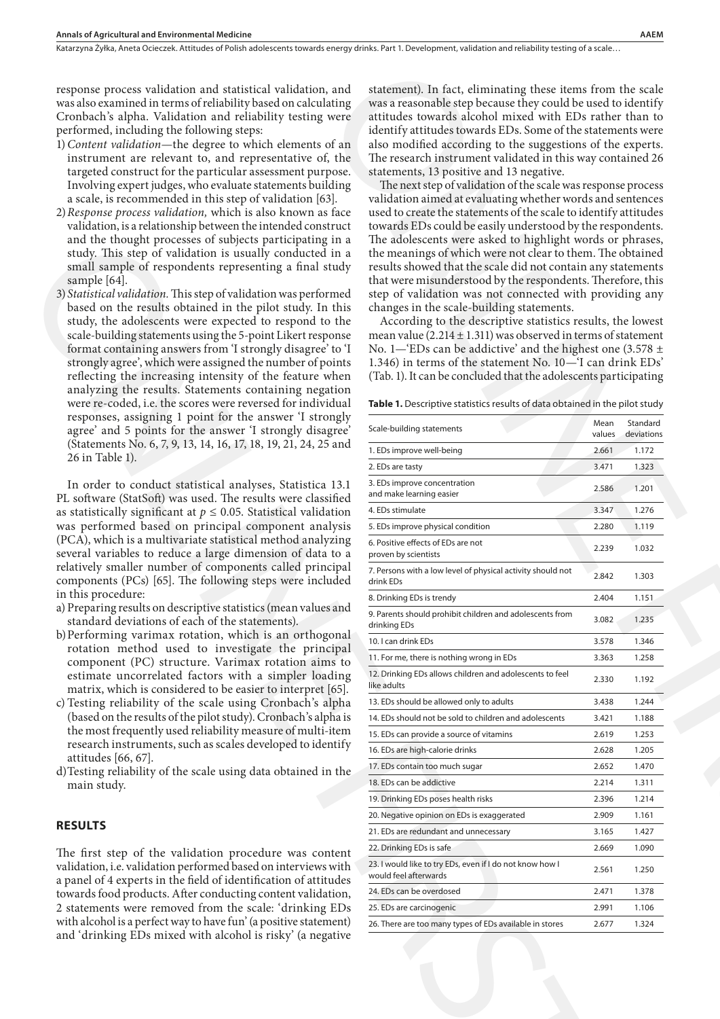- 1)*Content validation*—the degree to which elements of an instrument are relevant to, and representative of, the targeted construct for the particular assessment purpose. Involving expert judges, who evaluate statements building a scale, is recommended in this step of validation [63].
- 2)*Response process validation,* which is also known as face validation, is a relationship between the intended construct and the thought processes of subjects participating in a study. This step of validation is usually conducted in a small sample of respondents representing a final study sample [64].
- 3) *Statistical validation.* This step of validation was performed based on the results obtained in the pilot study. In this study, the adolescents were expected to respond to the scale-building statements using the 5-point Likert response format containing answers from 'I strongly disagree' to 'I strongly agree', which were assigned the number of points reflecting the increasing intensity of the feature when analyzing the results. Statements containing negation were re-coded, i.e. the scores were reversed for individual responses, assigning 1 point for the answer 'I strongly agree' and 5 points for the answer 'I strongly disagree' (Statements No. 6, 7, 9, 13, 14, 16, 17, 18, 19, 21, 24, 25 and 26 in Table 1).

- a) Preparing results on descriptive statistics (mean values and standard deviations of each of the statements).
- b)Performing varimax rotation, which is an orthogonal rotation method used to investigate the principal component (PC) structure. Varimax rotation aims to estimate uncorrelated factors with a simpler loading matrix, which is considered to be easier to interpret [65].
- c) Testing reliability of the scale using Cronbach's alpha (based on the results of the pilot study). Cronbach's alpha is the most frequently used reliability measure of multi-item research instruments, such as scales developed to identify attitudes [66, 67].
- d)Testing reliability of the scale using data obtained in the main study.

### **RESULTS**

| response process validation and statistical validation, and<br>was also examined in terms of reliability based on calculating<br>Cronbach's alpha. Validation and reliability testing were | statement). In fact, eliminating these items from the scale<br>was a reasonable step because they could be used to identify<br>attitudes towards alcohol mixed with EDs rather than to |        |            |
|--------------------------------------------------------------------------------------------------------------------------------------------------------------------------------------------|----------------------------------------------------------------------------------------------------------------------------------------------------------------------------------------|--------|------------|
| performed, including the following steps:                                                                                                                                                  | identify attitudes towards EDs. Some of the statements were                                                                                                                            |        |            |
| 1) Content validation-the degree to which elements of an<br>instrument are relevant to, and representative of, the                                                                         | also modified according to the suggestions of the experts.<br>The research instrument validated in this way contained 26                                                               |        |            |
| targeted construct for the particular assessment purpose.                                                                                                                                  | statements, 13 positive and 13 negative.                                                                                                                                               |        |            |
| Involving expert judges, who evaluate statements building                                                                                                                                  | The next step of validation of the scale was response process                                                                                                                          |        |            |
| a scale, is recommended in this step of validation [63].                                                                                                                                   | validation aimed at evaluating whether words and sentences                                                                                                                             |        |            |
| 2) Response process validation, which is also known as face                                                                                                                                | used to create the statements of the scale to identify attitudes                                                                                                                       |        |            |
| validation, is a relationship between the intended construct                                                                                                                               | towards EDs could be easily understood by the respondents.                                                                                                                             |        |            |
| and the thought processes of subjects participating in a<br>study. This step of validation is usually conducted in a                                                                       | The adolescents were asked to highlight words or phrases,<br>the meanings of which were not clear to them. The obtained                                                                |        |            |
| small sample of respondents representing a final study                                                                                                                                     | results showed that the scale did not contain any statements                                                                                                                           |        |            |
| sample [64].                                                                                                                                                                               | that were misunderstood by the respondents. Therefore, this                                                                                                                            |        |            |
| 3) Statistical validation. This step of validation was performed                                                                                                                           | step of validation was not connected with providing any                                                                                                                                |        |            |
| based on the results obtained in the pilot study. In this                                                                                                                                  | changes in the scale-building statements.                                                                                                                                              |        |            |
| study, the adolescents were expected to respond to the                                                                                                                                     | According to the descriptive statistics results, the lowest<br>mean value $(2.214 \pm 1.311)$ was observed in terms of statement                                                       |        |            |
| scale-building statements using the 5-point Likert response<br>format containing answers from 'I strongly disagree' to 'I                                                                  | No. 1-'EDs can be addictive' and the highest one (3.578 $\pm$                                                                                                                          |        |            |
| strongly agree', which were assigned the number of points                                                                                                                                  | 1.346) in terms of the statement No. 10-'I can drink EDs'                                                                                                                              |        |            |
| reflecting the increasing intensity of the feature when                                                                                                                                    | (Tab. 1). It can be concluded that the adolescents participating                                                                                                                       |        |            |
| analyzing the results. Statements containing negation                                                                                                                                      |                                                                                                                                                                                        |        |            |
| were re-coded, i.e. the scores were reversed for individual                                                                                                                                | Table 1. Descriptive statistics results of data obtained in the pilot study                                                                                                            |        |            |
| responses, assigning 1 point for the answer 'I strongly<br>agree' and 5 points for the answer 'I strongly disagree'                                                                        | Scale-building statements                                                                                                                                                              | Mean   | Standard   |
| (Statements No. 6, 7, 9, 13, 14, 16, 17, 18, 19, 21, 24, 25 and                                                                                                                            |                                                                                                                                                                                        | values | deviations |
| 26 in Table 1).                                                                                                                                                                            | 1. EDs improve well-being                                                                                                                                                              | 2.661  | 1.172      |
|                                                                                                                                                                                            | 2. EDs are tasty                                                                                                                                                                       | 3.471  | 1.323      |
| In order to conduct statistical analyses, Statistica 13.1<br>PL software (StatSoft) was used. The results were classified                                                                  | 3. EDs improve concentration<br>and make learning easier                                                                                                                               | 2.586  | 1.201      |
| as statistically significant at $p \leq 0.05$ . Statistical validation                                                                                                                     | 4. EDs stimulate                                                                                                                                                                       | 3.347  | 1.276      |
| was performed based on principal component analysis                                                                                                                                        | 5. EDs improve physical condition                                                                                                                                                      | 2.280  | 1.119      |
| (PCA), which is a multivariate statistical method analyzing                                                                                                                                | 6. Positive effects of EDs are not                                                                                                                                                     | 2.239  | 1.032      |
| several variables to reduce a large dimension of data to a                                                                                                                                 | proven by scientists                                                                                                                                                                   |        |            |
| relatively smaller number of components called principal<br>components (PCs) [65]. The following steps were included                                                                       | 7. Persons with a low level of physical activity should not<br>drink EDs                                                                                                               | 2.842  | 1.303      |
| in this procedure:                                                                                                                                                                         | 8. Drinking EDs is trendy                                                                                                                                                              | 2.404  | 1.151      |
| a) Preparing results on descriptive statistics (mean values and                                                                                                                            | 9. Parents should prohibit children and adolescents from                                                                                                                               |        |            |
| standard deviations of each of the statements).                                                                                                                                            | drinking EDs                                                                                                                                                                           | 3.082  | 1.235      |
| b) Performing varimax rotation, which is an orthogonal<br>rotation method used to investigate the principal                                                                                | 10. I can drink EDs                                                                                                                                                                    | 3.578  | 1.346      |
| component (PC) structure. Varimax rotation aims to                                                                                                                                         | 11. For me, there is nothing wrong in EDs                                                                                                                                              | 3.363  | 1.258      |
| estimate uncorrelated factors with a simpler loading                                                                                                                                       | 12. Drinking EDs allows children and adolescents to feel                                                                                                                               | 2.330  | 1.192      |
| matrix, which is considered to be easier to interpret [65].                                                                                                                                | like adults                                                                                                                                                                            |        |            |
| c) Testing reliability of the scale using Cronbach's alpha                                                                                                                                 | 13. EDs should be allowed only to adults                                                                                                                                               | 3.438  | 1.244      |
| (based on the results of the pilot study). Cronbach's alpha is                                                                                                                             | 14. EDs should not be sold to children and adolescents                                                                                                                                 | 3.421  | 1.188      |
| the most frequently used reliability measure of multi-item<br>research instruments, such as scales developed to identify                                                                   | 15. EDs can provide a source of vitamins                                                                                                                                               | 2.619  | 1.253      |
| attitudes [66, 67].                                                                                                                                                                        | 16. EDs are high-calorie drinks                                                                                                                                                        | 2.628  | 1.205      |
| d) Testing reliability of the scale using data obtained in the                                                                                                                             | 17. EDs contain too much sugar                                                                                                                                                         | 2.652  | 1.470      |
| main study.                                                                                                                                                                                | 18. EDs can be addictive                                                                                                                                                               | 2.214  | 1.311      |
|                                                                                                                                                                                            | 19. Drinking EDs poses health risks                                                                                                                                                    | 2.396  | 1.214      |
|                                                                                                                                                                                            | 20. Negative opinion on EDs is exaggerated                                                                                                                                             | 2.909  | 1.161      |
| <b>RESULTS</b>                                                                                                                                                                             | 21. EDs are redundant and unnecessary                                                                                                                                                  | 3.165  | 1.427      |
| The first step of the validation procedure was content                                                                                                                                     | 22. Drinking EDs is safe                                                                                                                                                               | 2.669  | 1.090      |
| validation, i.e. validation performed based on interviews with                                                                                                                             | 23. I would like to try EDs, even if I do not know how I                                                                                                                               | 2.561  | 1.250      |
| a panel of 4 experts in the field of identification of attitudes                                                                                                                           | would feel afterwards                                                                                                                                                                  |        |            |
| towards food products. After conducting content validation,                                                                                                                                | 24. EDs can be overdosed                                                                                                                                                               | 2.471  | 1.378      |
| 2 statements were removed from the scale: 'drinking EDs                                                                                                                                    | 25. EDs are carcinogenic                                                                                                                                                               | 2.991  | 1.106      |
| with alcohol is a perfect way to have fun' (a positive statement)                                                                                                                          | 26. There are too many types of EDs available in stores                                                                                                                                | 2.677  | 1.324      |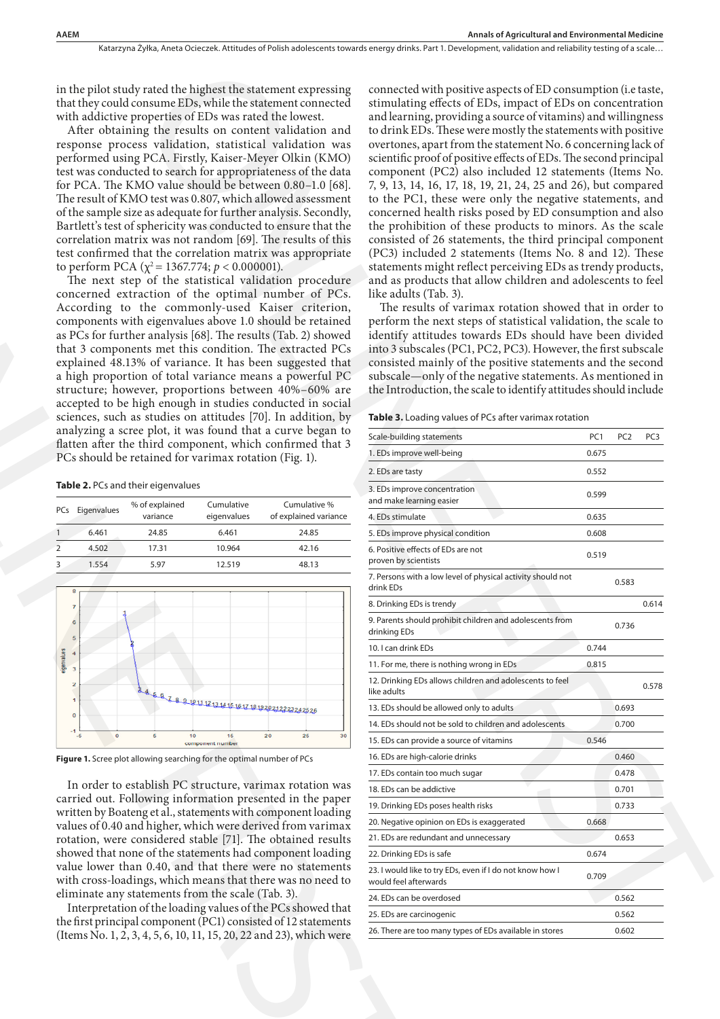in the pilot study rated the highest the statement expressing that they could consume EDs, while the statement connected with addictive properties of EDs was rated the lowest.

After obtaining the results on content validation and response process validation, statistical validation was performed using PCA. Firstly, Kaiser-Meyer Olkin (KMO) test was conducted to search for appropriateness of the data for PCA. The KMO value should be between 0.80–1.0 [68]. The result of KMO test was 0.807, which allowed assessment of the sample size as adequate for further analysis. Secondly, Bartlett's test of sphericity was conducted to ensure that the correlation matrix was not random [69]. The results of this test confirmed that the correlation matrix was appropriate to perform PCA ( $\chi^2$  = 1367.774;  $p < 0.000001$ ).

The next step of the statistical validation procedure concerned extraction of the optimal number of PCs. According to the commonly-used Kaiser criterion, components with eigenvalues above 1.0 should be retained as PCs for further analysis [68]. The results (Tab. 2) showed that 3 components met this condition. The extracted PCs explained 48.13% of variance. It has been suggested that a high proportion of total variance means a powerful PC structure; however, proportions between 40%–60% are accepted to be high enough in studies conducted in social sciences, such as studies on attitudes [70]. In addition, by analyzing a scree plot, it was found that a curve began to flatten after the third component, which confirmed that 3 PCs should be retained for varimax rotation (Fig. 1). correlation matrix was not random (69). The results of this consistent the correlation matrix was appropriate (PC2) in the result of the statement bCA ( $\frac{1}{2}$  Existence) in the result of the statement of the statement

**Table 2.** PCs and their eigenvalues

| <b>PCs</b> | Eigenvalues | % of explained<br>variance | Cumulative<br>eigenvalues | Cumulative %<br>of explained variance |
|------------|-------------|----------------------------|---------------------------|---------------------------------------|
|            | 6.461       | 24.85                      | 6.461                     | 24.85                                 |
|            | 4.502       | 17.31                      | 10.964                    | 42.16                                 |
|            | 1.554       | 5.97                       | 12.519                    | 48.13                                 |



**Figure 1.** Scree plot allowing searching for the optimal number of PCs

In order to establish PC structure, varimax rotation was carried out. Following information presented in the paper written by Boateng et al., statements with component loading values of 0.40 and higher, which were derived from varimax rotation, were considered stable [71]. The obtained results showed that none of the statements had component loading value lower than 0.40, and that there were no statements with cross-loadings, which means that there was no need to eliminate any statements from the scale (Tab. 3).

Interpretation of the loading values of the PCs showed that the first principal component (PC1) consisted of 12 statements (Items No. 1, 2, 3, 4, 5, 6, 10, 11, 15, 20, 22 and 23), which were

| rated the highest the statement expressing<br>nsume EDs, while the statement connected<br>operties of EDs was rated the lowest.<br>g the results on content validation and<br>s validation, statistical validation was<br>PCA. Firstly, Kaiser-Meyer Olkin (KMO)<br>d to search for appropriateness of the data<br>IO value should be between 0.80-1.0 [68].<br>O test was 0.807, which allowed assessment<br>as adequate for further analysis. Secondly,<br>phericity was conducted to ensure that the<br>x was not random [69]. The results of this<br>at the correlation matrix was appropriate<br>$(\chi^2 = 1367.774; p < 0.000001).$<br>of the statistical validation procedure<br>ction of the optimal number of PCs.<br>the commonly-used Kaiser criterion,<br>eigenvalues above 1.0 should be retained<br>r analysis [68]. The results (Tab. 2) showed<br>ts met this condition. The extracted PCs<br>6 of variance. It has been suggested that<br>n of total variance means a powerful PC<br>ver, proportions between 40%-60% are<br>gh enough in studies conducted in social | connected with positive aspects of ED consumption (i.e taste,<br>stimulating effects of EDs, impact of EDs on concentration<br>and learning, providing a source of vitamins) and willingness<br>to drink EDs. These were mostly the statements with positive<br>overtones, apart from the statement No. 6 concerning lack of<br>scientific proof of positive effects of EDs. The second principal<br>component (PC2) also included 12 statements (Items No.<br>7, 9, 13, 14, 16, 17, 18, 19, 21, 24, 25 and 26), but compared<br>to the PC1, these were only the negative statements, and<br>concerned health risks posed by ED consumption and also<br>the prohibition of these products to minors. As the scale<br>consisted of 26 statements, the third principal component<br>(PC3) included 2 statements (Items No. 8 and 12). These<br>statements might reflect perceiving EDs as trendy products,<br>and as products that allow children and adolescents to feel<br>like adults (Tab. 3).<br>The results of varimax rotation showed that in order to<br>perform the next steps of statistical validation, the scale to<br>identify attitudes towards EDs should have been divided<br>into 3 subscales (PC1, PC2, PC3). However, the first subscale<br>consisted mainly of the positive statements and the second<br>subscale—only of the negative statements. As mentioned in<br>the Introduction, the scale to identify attitudes should include |                 |                                    |
|-----------------------------------------------------------------------------------------------------------------------------------------------------------------------------------------------------------------------------------------------------------------------------------------------------------------------------------------------------------------------------------------------------------------------------------------------------------------------------------------------------------------------------------------------------------------------------------------------------------------------------------------------------------------------------------------------------------------------------------------------------------------------------------------------------------------------------------------------------------------------------------------------------------------------------------------------------------------------------------------------------------------------------------------------------------------------------------------|----------------------------------------------------------------------------------------------------------------------------------------------------------------------------------------------------------------------------------------------------------------------------------------------------------------------------------------------------------------------------------------------------------------------------------------------------------------------------------------------------------------------------------------------------------------------------------------------------------------------------------------------------------------------------------------------------------------------------------------------------------------------------------------------------------------------------------------------------------------------------------------------------------------------------------------------------------------------------------------------------------------------------------------------------------------------------------------------------------------------------------------------------------------------------------------------------------------------------------------------------------------------------------------------------------------------------------------------------------------------------------------------------------------------------------------------------------|-----------------|------------------------------------|
| studies on attitudes [70]. In addition, by                                                                                                                                                                                                                                                                                                                                                                                                                                                                                                                                                                                                                                                                                                                                                                                                                                                                                                                                                                                                                                              | Table 3. Loading values of PCs after varimax rotation                                                                                                                                                                                                                                                                                                                                                                                                                                                                                                                                                                                                                                                                                                                                                                                                                                                                                                                                                                                                                                                                                                                                                                                                                                                                                                                                                                                                    |                 |                                    |
| plot, it was found that a curve began to<br>hird component, which confirmed that 3                                                                                                                                                                                                                                                                                                                                                                                                                                                                                                                                                                                                                                                                                                                                                                                                                                                                                                                                                                                                      | Scale-building statements                                                                                                                                                                                                                                                                                                                                                                                                                                                                                                                                                                                                                                                                                                                                                                                                                                                                                                                                                                                                                                                                                                                                                                                                                                                                                                                                                                                                                                | PC <sub>1</sub> | PC <sub>2</sub><br>PC <sub>3</sub> |
| tained for varimax rotation (Fig. 1).                                                                                                                                                                                                                                                                                                                                                                                                                                                                                                                                                                                                                                                                                                                                                                                                                                                                                                                                                                                                                                                   | 1. EDs improve well-being                                                                                                                                                                                                                                                                                                                                                                                                                                                                                                                                                                                                                                                                                                                                                                                                                                                                                                                                                                                                                                                                                                                                                                                                                                                                                                                                                                                                                                | 0.675           |                                    |
|                                                                                                                                                                                                                                                                                                                                                                                                                                                                                                                                                                                                                                                                                                                                                                                                                                                                                                                                                                                                                                                                                         | 2. EDs are tasty                                                                                                                                                                                                                                                                                                                                                                                                                                                                                                                                                                                                                                                                                                                                                                                                                                                                                                                                                                                                                                                                                                                                                                                                                                                                                                                                                                                                                                         | 0.552           |                                    |
| ir eigenvalues<br>of explained<br>Cumulative<br>Cumulative %                                                                                                                                                                                                                                                                                                                                                                                                                                                                                                                                                                                                                                                                                                                                                                                                                                                                                                                                                                                                                            | 3. EDs improve concentration<br>and make learning easier                                                                                                                                                                                                                                                                                                                                                                                                                                                                                                                                                                                                                                                                                                                                                                                                                                                                                                                                                                                                                                                                                                                                                                                                                                                                                                                                                                                                 | 0.599           |                                    |
| variance<br>eigenvalues<br>of explained variance                                                                                                                                                                                                                                                                                                                                                                                                                                                                                                                                                                                                                                                                                                                                                                                                                                                                                                                                                                                                                                        | 4. EDs stimulate                                                                                                                                                                                                                                                                                                                                                                                                                                                                                                                                                                                                                                                                                                                                                                                                                                                                                                                                                                                                                                                                                                                                                                                                                                                                                                                                                                                                                                         | 0.635           |                                    |
| 24.85<br>6.461<br>24.85                                                                                                                                                                                                                                                                                                                                                                                                                                                                                                                                                                                                                                                                                                                                                                                                                                                                                                                                                                                                                                                                 | 5. EDs improve physical condition                                                                                                                                                                                                                                                                                                                                                                                                                                                                                                                                                                                                                                                                                                                                                                                                                                                                                                                                                                                                                                                                                                                                                                                                                                                                                                                                                                                                                        | 0.608           |                                    |
| 10.964<br>17.31<br>42.16<br>5.97<br>12.519<br>48.13                                                                                                                                                                                                                                                                                                                                                                                                                                                                                                                                                                                                                                                                                                                                                                                                                                                                                                                                                                                                                                     | 6. Positive effects of EDs are not<br>proven by scientists                                                                                                                                                                                                                                                                                                                                                                                                                                                                                                                                                                                                                                                                                                                                                                                                                                                                                                                                                                                                                                                                                                                                                                                                                                                                                                                                                                                               | 0.519           |                                    |
|                                                                                                                                                                                                                                                                                                                                                                                                                                                                                                                                                                                                                                                                                                                                                                                                                                                                                                                                                                                                                                                                                         | 7. Persons with a low level of physical activity should not<br>drink EDs                                                                                                                                                                                                                                                                                                                                                                                                                                                                                                                                                                                                                                                                                                                                                                                                                                                                                                                                                                                                                                                                                                                                                                                                                                                                                                                                                                                 |                 | 0.583                              |
|                                                                                                                                                                                                                                                                                                                                                                                                                                                                                                                                                                                                                                                                                                                                                                                                                                                                                                                                                                                                                                                                                         | 8. Drinking EDs is trendy                                                                                                                                                                                                                                                                                                                                                                                                                                                                                                                                                                                                                                                                                                                                                                                                                                                                                                                                                                                                                                                                                                                                                                                                                                                                                                                                                                                                                                |                 | 0.614                              |
|                                                                                                                                                                                                                                                                                                                                                                                                                                                                                                                                                                                                                                                                                                                                                                                                                                                                                                                                                                                                                                                                                         | 9. Parents should prohibit children and adolescents from<br>drinking EDs                                                                                                                                                                                                                                                                                                                                                                                                                                                                                                                                                                                                                                                                                                                                                                                                                                                                                                                                                                                                                                                                                                                                                                                                                                                                                                                                                                                 |                 | 0.736                              |
|                                                                                                                                                                                                                                                                                                                                                                                                                                                                                                                                                                                                                                                                                                                                                                                                                                                                                                                                                                                                                                                                                         | 10. I can drink EDs                                                                                                                                                                                                                                                                                                                                                                                                                                                                                                                                                                                                                                                                                                                                                                                                                                                                                                                                                                                                                                                                                                                                                                                                                                                                                                                                                                                                                                      | 0.744           |                                    |
|                                                                                                                                                                                                                                                                                                                                                                                                                                                                                                                                                                                                                                                                                                                                                                                                                                                                                                                                                                                                                                                                                         | 11. For me, there is nothing wrong in EDs                                                                                                                                                                                                                                                                                                                                                                                                                                                                                                                                                                                                                                                                                                                                                                                                                                                                                                                                                                                                                                                                                                                                                                                                                                                                                                                                                                                                                | 0.815           |                                    |
| $\frac{1}{8}\frac{1}{8}\frac{1}{8}\frac{1}{8}\frac{1}{16}\frac{1}{13}\frac{1}{16}\frac{1}{16}\frac{1}{16}\frac{1}{16}\frac{1}{16}\frac{1}{16}\frac{1}{16}\frac{1}{16}\frac{1}{16}\frac{1}{16}\frac{1}{16}\frac{1}{16}\frac{1}{16}\frac{1}{16}\frac{1}{16}\frac{1}{16}\frac{1}{16}\frac{1}{16}\frac{1}{16}\frac{1}{16}\frac{1}{16}\frac{1}{16}\frac{1}{16}\frac{1}{16}\frac{1}{16}\frac{1}{16$                                                                                                                                                                                                                                                                                                                                                                                                                                                                                                                                                                                                                                                                                           | 12. Drinking EDs allows children and adolescents to feel<br>like adults                                                                                                                                                                                                                                                                                                                                                                                                                                                                                                                                                                                                                                                                                                                                                                                                                                                                                                                                                                                                                                                                                                                                                                                                                                                                                                                                                                                  |                 | 0.578                              |
|                                                                                                                                                                                                                                                                                                                                                                                                                                                                                                                                                                                                                                                                                                                                                                                                                                                                                                                                                                                                                                                                                         | 13. EDs should be allowed only to adults                                                                                                                                                                                                                                                                                                                                                                                                                                                                                                                                                                                                                                                                                                                                                                                                                                                                                                                                                                                                                                                                                                                                                                                                                                                                                                                                                                                                                 |                 | 0.693                              |
| 5<br>20<br>25<br>30<br>10<br>15                                                                                                                                                                                                                                                                                                                                                                                                                                                                                                                                                                                                                                                                                                                                                                                                                                                                                                                                                                                                                                                         | 14. EDs should not be sold to children and adolescents                                                                                                                                                                                                                                                                                                                                                                                                                                                                                                                                                                                                                                                                                                                                                                                                                                                                                                                                                                                                                                                                                                                                                                                                                                                                                                                                                                                                   |                 | 0.700                              |
| component number                                                                                                                                                                                                                                                                                                                                                                                                                                                                                                                                                                                                                                                                                                                                                                                                                                                                                                                                                                                                                                                                        | 15. EDs can provide a source of vitamins                                                                                                                                                                                                                                                                                                                                                                                                                                                                                                                                                                                                                                                                                                                                                                                                                                                                                                                                                                                                                                                                                                                                                                                                                                                                                                                                                                                                                 | 0.546           |                                    |
| owing searching for the optimal number of PCs                                                                                                                                                                                                                                                                                                                                                                                                                                                                                                                                                                                                                                                                                                                                                                                                                                                                                                                                                                                                                                           | 16. EDs are high-calorie drinks                                                                                                                                                                                                                                                                                                                                                                                                                                                                                                                                                                                                                                                                                                                                                                                                                                                                                                                                                                                                                                                                                                                                                                                                                                                                                                                                                                                                                          |                 | 0.460                              |
| ablish PC structure, varimax rotation was                                                                                                                                                                                                                                                                                                                                                                                                                                                                                                                                                                                                                                                                                                                                                                                                                                                                                                                                                                                                                                               | 17. EDs contain too much sugar                                                                                                                                                                                                                                                                                                                                                                                                                                                                                                                                                                                                                                                                                                                                                                                                                                                                                                                                                                                                                                                                                                                                                                                                                                                                                                                                                                                                                           |                 | 0.478                              |
| wing information presented in the paper                                                                                                                                                                                                                                                                                                                                                                                                                                                                                                                                                                                                                                                                                                                                                                                                                                                                                                                                                                                                                                                 | 18. EDs can be addictive                                                                                                                                                                                                                                                                                                                                                                                                                                                                                                                                                                                                                                                                                                                                                                                                                                                                                                                                                                                                                                                                                                                                                                                                                                                                                                                                                                                                                                 |                 | 0.701<br>0.733                     |
| g et al., statements with component loading                                                                                                                                                                                                                                                                                                                                                                                                                                                                                                                                                                                                                                                                                                                                                                                                                                                                                                                                                                                                                                             | 19. Drinking EDs poses health risks<br>20. Negative opinion on EDs is exaggerated                                                                                                                                                                                                                                                                                                                                                                                                                                                                                                                                                                                                                                                                                                                                                                                                                                                                                                                                                                                                                                                                                                                                                                                                                                                                                                                                                                        | 0.668           |                                    |
| higher, which were derived from varimax<br>nsidered stable [71]. The obtained results                                                                                                                                                                                                                                                                                                                                                                                                                                                                                                                                                                                                                                                                                                                                                                                                                                                                                                                                                                                                   | 21. EDs are redundant and unnecessary                                                                                                                                                                                                                                                                                                                                                                                                                                                                                                                                                                                                                                                                                                                                                                                                                                                                                                                                                                                                                                                                                                                                                                                                                                                                                                                                                                                                                    |                 | 0.653                              |
| of the statements had component loading                                                                                                                                                                                                                                                                                                                                                                                                                                                                                                                                                                                                                                                                                                                                                                                                                                                                                                                                                                                                                                                 | 22. Drinking EDs is safe                                                                                                                                                                                                                                                                                                                                                                                                                                                                                                                                                                                                                                                                                                                                                                                                                                                                                                                                                                                                                                                                                                                                                                                                                                                                                                                                                                                                                                 | 0.674           |                                    |
| 0.40, and that there were no statements                                                                                                                                                                                                                                                                                                                                                                                                                                                                                                                                                                                                                                                                                                                                                                                                                                                                                                                                                                                                                                                 | 23. I would like to try EDs, even if I do not know how I                                                                                                                                                                                                                                                                                                                                                                                                                                                                                                                                                                                                                                                                                                                                                                                                                                                                                                                                                                                                                                                                                                                                                                                                                                                                                                                                                                                                 |                 |                                    |
| gs, which means that there was no need to                                                                                                                                                                                                                                                                                                                                                                                                                                                                                                                                                                                                                                                                                                                                                                                                                                                                                                                                                                                                                                               | would feel afterwards                                                                                                                                                                                                                                                                                                                                                                                                                                                                                                                                                                                                                                                                                                                                                                                                                                                                                                                                                                                                                                                                                                                                                                                                                                                                                                                                                                                                                                    | 0.709           |                                    |
| tements from the scale (Tab. 3).                                                                                                                                                                                                                                                                                                                                                                                                                                                                                                                                                                                                                                                                                                                                                                                                                                                                                                                                                                                                                                                        | 24. EDs can be overdosed                                                                                                                                                                                                                                                                                                                                                                                                                                                                                                                                                                                                                                                                                                                                                                                                                                                                                                                                                                                                                                                                                                                                                                                                                                                                                                                                                                                                                                 |                 | 0.562                              |
| of the loading values of the PCs showed that<br>component (PC1) consisted of 12 statements                                                                                                                                                                                                                                                                                                                                                                                                                                                                                                                                                                                                                                                                                                                                                                                                                                                                                                                                                                                              | 25. EDs are carcinogenic                                                                                                                                                                                                                                                                                                                                                                                                                                                                                                                                                                                                                                                                                                                                                                                                                                                                                                                                                                                                                                                                                                                                                                                                                                                                                                                                                                                                                                 |                 | 0.562                              |
| 4 5 6 10 11 15 20 22 and 23) which were                                                                                                                                                                                                                                                                                                                                                                                                                                                                                                                                                                                                                                                                                                                                                                                                                                                                                                                                                                                                                                                 | 26. There are too many types of EDs available in stores                                                                                                                                                                                                                                                                                                                                                                                                                                                                                                                                                                                                                                                                                                                                                                                                                                                                                                                                                                                                                                                                                                                                                                                                                                                                                                                                                                                                  |                 | 0.602                              |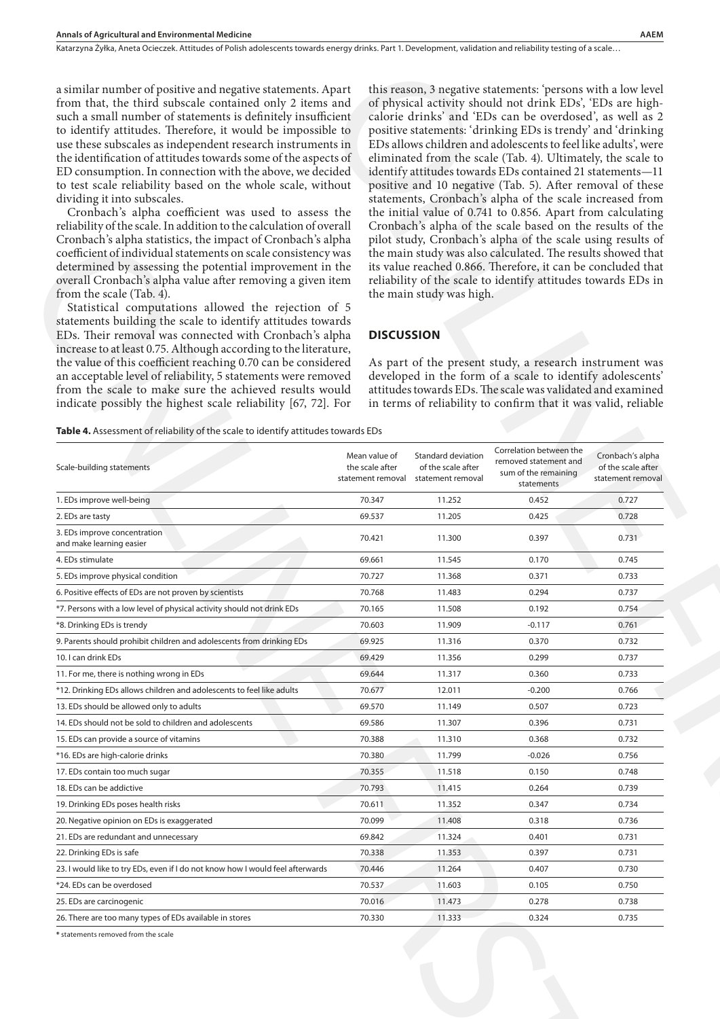### **DISCUSSION**

| a similar number of positive and negative statements. Apart<br>from that, the third subscale contained only 2 items and<br>such a small number of statements is definitely insufficient<br>to identify attitudes. Therefore, it would be impossible to<br>use these subscales as independent research instruments in<br>the identification of attitudes towards some of the aspects of<br>ED consumption. In connection with the above, we decided<br>to test scale reliability based on the whole scale, without<br>dividing it into subscales.<br>Cronbach's alpha coefficient was used to assess the<br>reliability of the scale. In addition to the calculation of overall<br>Cronbach's alpha statistics, the impact of Cronbach's alpha<br>coefficient of individual statements on scale consistency was<br>determined by assessing the potential improvement in the<br>overall Cronbach's alpha value after removing a given item<br>from the scale (Tab. 4).<br>the main study was high.<br>Statistical computations allowed the rejection of 5<br>statements building the scale to identify attitudes towards<br>EDs. Their removal was connected with Cronbach's alpha<br><b>DISCUSSION</b><br>increase to at least 0.75. Although according to the literature,<br>the value of this coefficient reaching 0.70 can be considered<br>an acceptable level of reliability, 5 statements were removed<br>from the scale to make sure the achieved results would<br>indicate possibly the highest scale reliability [67, 72]. For |                                  |                                                                                 |                                                                          | this reason, 3 negative statements: 'persons with a low level<br>of physical activity should not drink EDs', 'EDs are high-<br>calorie drinks' and 'EDs can be overdosed', as well as 2<br>positive statements: 'drinking EDs is trendy' and 'drinking<br>EDs allows children and adolescents to feel like adults', were<br>eliminated from the scale (Tab. 4). Ultimately, the scale to<br>identify attitudes towards EDs contained 21 statements-11<br>positive and 10 negative (Tab. 5). After removal of these<br>statements, Cronbach's alpha of the scale increased from<br>the initial value of 0.741 to 0.856. Apart from calculating<br>Cronbach's alpha of the scale based on the results of the<br>pilot study, Cronbach's alpha of the scale using results of<br>the main study was also calculated. The results showed that<br>its value reached 0.866. Therefore, it can be concluded that<br>reliability of the scale to identify attitudes towards EDs in<br>As part of the present study, a research instrument was<br>developed in the form of a scale to identify adolescents'<br>attitudes towards EDs. The scale was validated and examined<br>in terms of reliability to confirm that it was valid, reliable |  |  |
|----------------------------------------------------------------------------------------------------------------------------------------------------------------------------------------------------------------------------------------------------------------------------------------------------------------------------------------------------------------------------------------------------------------------------------------------------------------------------------------------------------------------------------------------------------------------------------------------------------------------------------------------------------------------------------------------------------------------------------------------------------------------------------------------------------------------------------------------------------------------------------------------------------------------------------------------------------------------------------------------------------------------------------------------------------------------------------------------------------------------------------------------------------------------------------------------------------------------------------------------------------------------------------------------------------------------------------------------------------------------------------------------------------------------------------------------------------------------------------------------------------------------------------------|----------------------------------|---------------------------------------------------------------------------------|--------------------------------------------------------------------------|------------------------------------------------------------------------------------------------------------------------------------------------------------------------------------------------------------------------------------------------------------------------------------------------------------------------------------------------------------------------------------------------------------------------------------------------------------------------------------------------------------------------------------------------------------------------------------------------------------------------------------------------------------------------------------------------------------------------------------------------------------------------------------------------------------------------------------------------------------------------------------------------------------------------------------------------------------------------------------------------------------------------------------------------------------------------------------------------------------------------------------------------------------------------------------------------------------------------------------|--|--|
| Table 4. Assessment of reliability of the scale to identify attitudes towards EDs<br>Scale-building statements                                                                                                                                                                                                                                                                                                                                                                                                                                                                                                                                                                                                                                                                                                                                                                                                                                                                                                                                                                                                                                                                                                                                                                                                                                                                                                                                                                                                                         | Mean value of<br>the scale after | Standard deviation<br>of the scale after<br>statement removal statement removal | Correlation between the<br>removed statement and<br>sum of the remaining | Cronbach's alpha<br>of the scale after<br>statement removal                                                                                                                                                                                                                                                                                                                                                                                                                                                                                                                                                                                                                                                                                                                                                                                                                                                                                                                                                                                                                                                                                                                                                                        |  |  |
| 1. EDs improve well-being                                                                                                                                                                                                                                                                                                                                                                                                                                                                                                                                                                                                                                                                                                                                                                                                                                                                                                                                                                                                                                                                                                                                                                                                                                                                                                                                                                                                                                                                                                              | 70.347                           | 11.252                                                                          | statements<br>0.452                                                      | 0.727                                                                                                                                                                                                                                                                                                                                                                                                                                                                                                                                                                                                                                                                                                                                                                                                                                                                                                                                                                                                                                                                                                                                                                                                                              |  |  |
| 2. EDs are tasty                                                                                                                                                                                                                                                                                                                                                                                                                                                                                                                                                                                                                                                                                                                                                                                                                                                                                                                                                                                                                                                                                                                                                                                                                                                                                                                                                                                                                                                                                                                       | 69.537                           | 11.205                                                                          | 0.425                                                                    | 0.728                                                                                                                                                                                                                                                                                                                                                                                                                                                                                                                                                                                                                                                                                                                                                                                                                                                                                                                                                                                                                                                                                                                                                                                                                              |  |  |
| 3. EDs improve concentration<br>and make learning easier                                                                                                                                                                                                                                                                                                                                                                                                                                                                                                                                                                                                                                                                                                                                                                                                                                                                                                                                                                                                                                                                                                                                                                                                                                                                                                                                                                                                                                                                               | 70.421                           | 11.300                                                                          | 0.397                                                                    | 0.731                                                                                                                                                                                                                                                                                                                                                                                                                                                                                                                                                                                                                                                                                                                                                                                                                                                                                                                                                                                                                                                                                                                                                                                                                              |  |  |
| 4. EDs stimulate                                                                                                                                                                                                                                                                                                                                                                                                                                                                                                                                                                                                                                                                                                                                                                                                                                                                                                                                                                                                                                                                                                                                                                                                                                                                                                                                                                                                                                                                                                                       | 69.661                           | 11.545                                                                          | 0.170                                                                    | 0.745                                                                                                                                                                                                                                                                                                                                                                                                                                                                                                                                                                                                                                                                                                                                                                                                                                                                                                                                                                                                                                                                                                                                                                                                                              |  |  |
| 5. EDs improve physical condition                                                                                                                                                                                                                                                                                                                                                                                                                                                                                                                                                                                                                                                                                                                                                                                                                                                                                                                                                                                                                                                                                                                                                                                                                                                                                                                                                                                                                                                                                                      | 70.727                           | 11.368                                                                          | 0.371                                                                    | 0.733                                                                                                                                                                                                                                                                                                                                                                                                                                                                                                                                                                                                                                                                                                                                                                                                                                                                                                                                                                                                                                                                                                                                                                                                                              |  |  |
| 6. Positive effects of EDs are not proven by scientists                                                                                                                                                                                                                                                                                                                                                                                                                                                                                                                                                                                                                                                                                                                                                                                                                                                                                                                                                                                                                                                                                                                                                                                                                                                                                                                                                                                                                                                                                | 70.768                           | 11.483                                                                          | 0.294                                                                    | 0.737                                                                                                                                                                                                                                                                                                                                                                                                                                                                                                                                                                                                                                                                                                                                                                                                                                                                                                                                                                                                                                                                                                                                                                                                                              |  |  |
| *7. Persons with a low level of physical activity should not drink EDs                                                                                                                                                                                                                                                                                                                                                                                                                                                                                                                                                                                                                                                                                                                                                                                                                                                                                                                                                                                                                                                                                                                                                                                                                                                                                                                                                                                                                                                                 | 70.165                           | 11.508                                                                          | 0.192                                                                    | 0.754                                                                                                                                                                                                                                                                                                                                                                                                                                                                                                                                                                                                                                                                                                                                                                                                                                                                                                                                                                                                                                                                                                                                                                                                                              |  |  |
| *8. Drinking EDs is trendy                                                                                                                                                                                                                                                                                                                                                                                                                                                                                                                                                                                                                                                                                                                                                                                                                                                                                                                                                                                                                                                                                                                                                                                                                                                                                                                                                                                                                                                                                                             | 70.603                           | 11.909                                                                          | $-0.117$                                                                 | 0.761                                                                                                                                                                                                                                                                                                                                                                                                                                                                                                                                                                                                                                                                                                                                                                                                                                                                                                                                                                                                                                                                                                                                                                                                                              |  |  |
| 9. Parents should prohibit children and adolescents from drinking EDs                                                                                                                                                                                                                                                                                                                                                                                                                                                                                                                                                                                                                                                                                                                                                                                                                                                                                                                                                                                                                                                                                                                                                                                                                                                                                                                                                                                                                                                                  | 69.925                           | 11.316                                                                          | 0.370                                                                    | 0.732                                                                                                                                                                                                                                                                                                                                                                                                                                                                                                                                                                                                                                                                                                                                                                                                                                                                                                                                                                                                                                                                                                                                                                                                                              |  |  |
| 10. I can drink EDs                                                                                                                                                                                                                                                                                                                                                                                                                                                                                                                                                                                                                                                                                                                                                                                                                                                                                                                                                                                                                                                                                                                                                                                                                                                                                                                                                                                                                                                                                                                    | 69.429                           | 11.356                                                                          | 0.299                                                                    | 0.737                                                                                                                                                                                                                                                                                                                                                                                                                                                                                                                                                                                                                                                                                                                                                                                                                                                                                                                                                                                                                                                                                                                                                                                                                              |  |  |
| 11. For me, there is nothing wrong in EDs                                                                                                                                                                                                                                                                                                                                                                                                                                                                                                                                                                                                                                                                                                                                                                                                                                                                                                                                                                                                                                                                                                                                                                                                                                                                                                                                                                                                                                                                                              | 69.644                           | 11.317                                                                          | 0.360                                                                    | 0.733                                                                                                                                                                                                                                                                                                                                                                                                                                                                                                                                                                                                                                                                                                                                                                                                                                                                                                                                                                                                                                                                                                                                                                                                                              |  |  |
| *12. Drinking EDs allows children and adolescents to feel like adults                                                                                                                                                                                                                                                                                                                                                                                                                                                                                                                                                                                                                                                                                                                                                                                                                                                                                                                                                                                                                                                                                                                                                                                                                                                                                                                                                                                                                                                                  | 70.677                           | 12.011                                                                          | $-0.200$                                                                 | 0.766                                                                                                                                                                                                                                                                                                                                                                                                                                                                                                                                                                                                                                                                                                                                                                                                                                                                                                                                                                                                                                                                                                                                                                                                                              |  |  |
| 13. EDs should be allowed only to adults                                                                                                                                                                                                                                                                                                                                                                                                                                                                                                                                                                                                                                                                                                                                                                                                                                                                                                                                                                                                                                                                                                                                                                                                                                                                                                                                                                                                                                                                                               | 69.570                           | 11.149                                                                          | 0.507                                                                    | 0.723                                                                                                                                                                                                                                                                                                                                                                                                                                                                                                                                                                                                                                                                                                                                                                                                                                                                                                                                                                                                                                                                                                                                                                                                                              |  |  |
| 14. EDs should not be sold to children and adolescents                                                                                                                                                                                                                                                                                                                                                                                                                                                                                                                                                                                                                                                                                                                                                                                                                                                                                                                                                                                                                                                                                                                                                                                                                                                                                                                                                                                                                                                                                 | 69.586                           | 11.307                                                                          | 0.396                                                                    | 0.731                                                                                                                                                                                                                                                                                                                                                                                                                                                                                                                                                                                                                                                                                                                                                                                                                                                                                                                                                                                                                                                                                                                                                                                                                              |  |  |
| 15. EDs can provide a source of vitamins                                                                                                                                                                                                                                                                                                                                                                                                                                                                                                                                                                                                                                                                                                                                                                                                                                                                                                                                                                                                                                                                                                                                                                                                                                                                                                                                                                                                                                                                                               | 70.388                           | 11.310<br>11.799                                                                | 0.368                                                                    | 0.732<br>0.756                                                                                                                                                                                                                                                                                                                                                                                                                                                                                                                                                                                                                                                                                                                                                                                                                                                                                                                                                                                                                                                                                                                                                                                                                     |  |  |
| *16. EDs are high-calorie drinks<br>17. EDs contain too much sugar                                                                                                                                                                                                                                                                                                                                                                                                                                                                                                                                                                                                                                                                                                                                                                                                                                                                                                                                                                                                                                                                                                                                                                                                                                                                                                                                                                                                                                                                     | 70.380<br>70.355                 | 11.518                                                                          | $-0.026$<br>0.150                                                        | 0.748                                                                                                                                                                                                                                                                                                                                                                                                                                                                                                                                                                                                                                                                                                                                                                                                                                                                                                                                                                                                                                                                                                                                                                                                                              |  |  |
| 18. EDs can be addictive                                                                                                                                                                                                                                                                                                                                                                                                                                                                                                                                                                                                                                                                                                                                                                                                                                                                                                                                                                                                                                                                                                                                                                                                                                                                                                                                                                                                                                                                                                               | 70.793                           | 11,415                                                                          | 0.264                                                                    | 0.739                                                                                                                                                                                                                                                                                                                                                                                                                                                                                                                                                                                                                                                                                                                                                                                                                                                                                                                                                                                                                                                                                                                                                                                                                              |  |  |
| 19. Drinking EDs poses health risks                                                                                                                                                                                                                                                                                                                                                                                                                                                                                                                                                                                                                                                                                                                                                                                                                                                                                                                                                                                                                                                                                                                                                                                                                                                                                                                                                                                                                                                                                                    | 70.611                           | 11.352                                                                          | 0.347                                                                    | 0.734                                                                                                                                                                                                                                                                                                                                                                                                                                                                                                                                                                                                                                                                                                                                                                                                                                                                                                                                                                                                                                                                                                                                                                                                                              |  |  |
| 20. Negative opinion on EDs is exaggerated                                                                                                                                                                                                                                                                                                                                                                                                                                                                                                                                                                                                                                                                                                                                                                                                                                                                                                                                                                                                                                                                                                                                                                                                                                                                                                                                                                                                                                                                                             | 70.099                           | 11.408                                                                          | 0.318                                                                    | 0.736                                                                                                                                                                                                                                                                                                                                                                                                                                                                                                                                                                                                                                                                                                                                                                                                                                                                                                                                                                                                                                                                                                                                                                                                                              |  |  |
| 21. EDs are redundant and unnecessary                                                                                                                                                                                                                                                                                                                                                                                                                                                                                                                                                                                                                                                                                                                                                                                                                                                                                                                                                                                                                                                                                                                                                                                                                                                                                                                                                                                                                                                                                                  | 69.842                           | 11.324                                                                          | 0.401                                                                    | 0.731                                                                                                                                                                                                                                                                                                                                                                                                                                                                                                                                                                                                                                                                                                                                                                                                                                                                                                                                                                                                                                                                                                                                                                                                                              |  |  |
| 22. Drinking EDs is safe                                                                                                                                                                                                                                                                                                                                                                                                                                                                                                                                                                                                                                                                                                                                                                                                                                                                                                                                                                                                                                                                                                                                                                                                                                                                                                                                                                                                                                                                                                               | 70.338                           | 11.353                                                                          | 0.397                                                                    | 0.731                                                                                                                                                                                                                                                                                                                                                                                                                                                                                                                                                                                                                                                                                                                                                                                                                                                                                                                                                                                                                                                                                                                                                                                                                              |  |  |
| 23. I would like to try EDs, even if I do not know how I would feel afterwards                                                                                                                                                                                                                                                                                                                                                                                                                                                                                                                                                                                                                                                                                                                                                                                                                                                                                                                                                                                                                                                                                                                                                                                                                                                                                                                                                                                                                                                         | 70.446                           | 11.264                                                                          | 0.407                                                                    | 0.730                                                                                                                                                                                                                                                                                                                                                                                                                                                                                                                                                                                                                                                                                                                                                                                                                                                                                                                                                                                                                                                                                                                                                                                                                              |  |  |
| *24. EDs can be overdosed                                                                                                                                                                                                                                                                                                                                                                                                                                                                                                                                                                                                                                                                                                                                                                                                                                                                                                                                                                                                                                                                                                                                                                                                                                                                                                                                                                                                                                                                                                              | 70.537                           | 11.603                                                                          | 0.105                                                                    | 0.750                                                                                                                                                                                                                                                                                                                                                                                                                                                                                                                                                                                                                                                                                                                                                                                                                                                                                                                                                                                                                                                                                                                                                                                                                              |  |  |
|                                                                                                                                                                                                                                                                                                                                                                                                                                                                                                                                                                                                                                                                                                                                                                                                                                                                                                                                                                                                                                                                                                                                                                                                                                                                                                                                                                                                                                                                                                                                        | 70.016                           | 11.473                                                                          | 0.278                                                                    | 0.738                                                                                                                                                                                                                                                                                                                                                                                                                                                                                                                                                                                                                                                                                                                                                                                                                                                                                                                                                                                                                                                                                                                                                                                                                              |  |  |
| 25. EDs are carcinogenic                                                                                                                                                                                                                                                                                                                                                                                                                                                                                                                                                                                                                                                                                                                                                                                                                                                                                                                                                                                                                                                                                                                                                                                                                                                                                                                                                                                                                                                                                                               | 70.330                           | 11.333                                                                          | 0.324                                                                    | 0.735                                                                                                                                                                                                                                                                                                                                                                                                                                                                                                                                                                                                                                                                                                                                                                                                                                                                                                                                                                                                                                                                                                                                                                                                                              |  |  |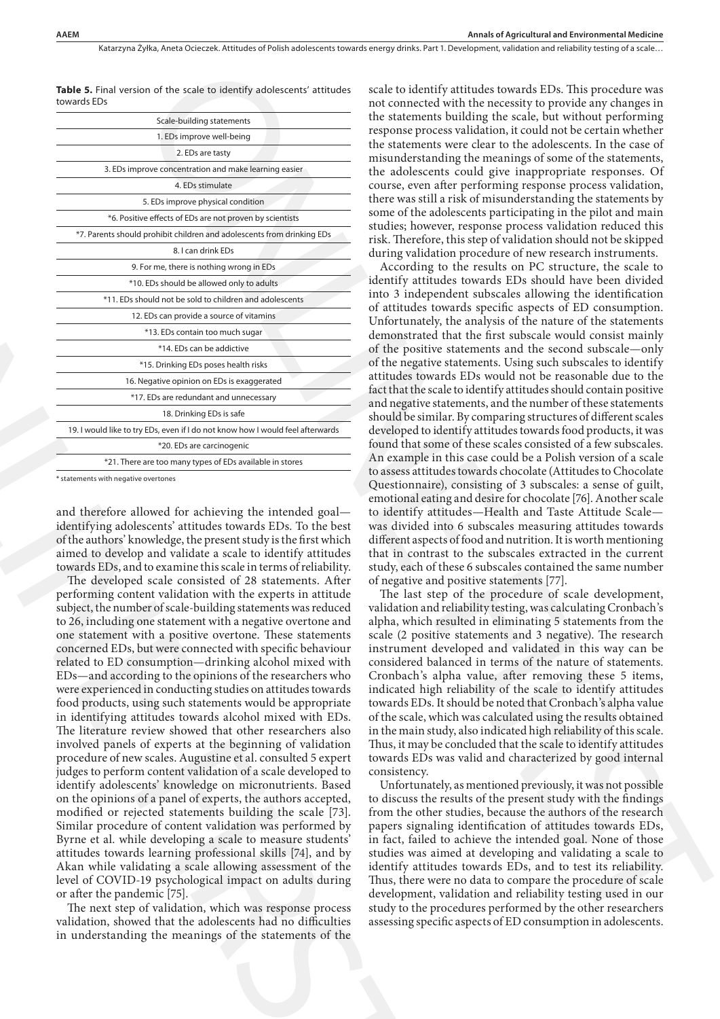**Table 5.** Final version of the scale to identify adolescents' attitudes towards EDs

| Scale-building statements                                                      |
|--------------------------------------------------------------------------------|
| 1. EDs improve well-being                                                      |
| 2. EDs are tasty                                                               |
| 3. EDs improve concentration and make learning easier                          |
| 4 FDs stimulate                                                                |
| 5. EDs improve physical condition                                              |
| *6. Positive effects of EDs are not proven by scientists                       |
| *7. Parents should prohibit children and adolescents from drinking EDs         |
| 8. I can drink EDs                                                             |
| 9. For me, there is nothing wrong in EDs                                       |
| *10. EDs should be allowed only to adults                                      |
| *11. EDs should not be sold to children and adolescents                        |
| 12. EDs can provide a source of vitamins                                       |
| *13. EDs contain too much sugar                                                |
| *14 FDs can be addictive                                                       |
| *15. Drinking EDs poses health risks                                           |
| 16. Negative opinion on EDs is exaggerated                                     |
| *17. EDs are redundant and unnecessary                                         |
| 18. Drinking EDs is safe                                                       |
| 19. I would like to try EDs, even if I do not know how I would feel afterwards |
| *20. EDs are carcinogenic                                                      |
| *21. There are too many types of EDs available in stores                       |

\* statements with negative overtones

and therefore allowed for achieving the intended goal identifying adolescents' attitudes towards EDs. To the best of the authors' knowledge, the present study is the first which aimed to develop and validate a scale to identify attitudes towards EDs, and to examine this scale in terms of reliability.

The developed scale consisted of 28 statements. After performing content validation with the experts in attitude subject, the number of scale-building statements was reduced to 26, including one statement with a negative overtone and one statement with a positive overtone. These statements concerned EDs, but were connected with specific behaviour related to ED consumption—drinking alcohol mixed with EDs—and according to the opinions of the researchers who were experienced in conducting studies on attitudes towards food products, using such statements would be appropriate in identifying attitudes towards alcohol mixed with EDs. The literature review showed that other researchers also involved panels of experts at the beginning of validation procedure of new scales. Augustine et al. consulted 5 expert judges to perform content validation of a scale developed to identify adolescents' knowledge on micronutrients. Based on the opinions of a panel of experts, the authors accepted, modified or rejected statements building the scale [73]. Similar procedure of content validation was performed by Byrne et al. while developing a scale to measure students' attitudes towards learning professional skills [74], and by Akan while validating a scale allowing assessment of the level of COVID-19 psychological impact on adults during or after the pandemic [75]. A consistent in the method and the set of the set of the set of the set of the set of the set of the set of the set of the set of the set of the set of the set of the set of the set of the set of the set of the set of the

The next step of validation, which was response process validation, showed that the adolescents had no difficulties in understanding the meanings of the statements of the

scale to identify attitudes towards EDs. This procedure was not connected with the necessity to provide any changes in the statements building the scale, but without performing response process validation, it could not be certain whether the statements were clear to the adolescents. In the case of misunderstanding the meanings of some of the statements, the adolescents could give inappropriate responses. Of course, even after performing response process validation, there was still a risk of misunderstanding the statements by some of the adolescents participating in the pilot and main studies; however, response process validation reduced this risk. Therefore, this step of validation should not be skipped during validation procedure of new research instruments.

According to the results on PC structure, the scale to identify attitudes towards EDs should have been divided into 3 independent subscales allowing the identification of attitudes towards specific aspects of ED consumption. Unfortunately, the analysis of the nature of the statements demonstrated that the first subscale would consist mainly of the positive statements and the second subscale—only of the negative statements. Using such subscales to identify attitudes towards EDs would not be reasonable due to the fact that the scale to identify attitudes should contain positive and negative statements, and the number of these statements should be similar. By comparing structures of different scales developed to identify attitudes towards food products, it was found that some of these scales consisted of a few subscales. An example in this case could be a Polish version of a scale to assess attitudes towards chocolate (Attitudes to Chocolate Questionnaire), consisting of 3 subscales: a sense of guilt, emotional eating and desire for chocolate [76]. Another scale to identify attitudes—Health and Taste Attitude Scale was divided into 6 subscales measuring attitudes towards different aspects of food and nutrition. It is worth mentioning that in contrast to the subscales extracted in the current study, each of these 6 subscales contained the same number of negative and positive statements [77]. on ot the scale is identify and since the scale is identify at these theoretical the methods in the constraints in the case of the scale of the scale of the scale of the scale of the scale of the scale of the scale of the

The last step of the procedure of scale development, validation and reliability testing, was calculating Cronbach's alpha, which resulted in eliminating 5 statements from the scale (2 positive statements and 3 negative). The research instrument developed and validated in this way can be considered balanced in terms of the nature of statements. Cronbach's alpha value, after removing these 5 items, indicated high reliability of the scale to identify attitudes towards EDs. It should be noted that Cronbach's alpha value of the scale, which was calculated using the results obtained in the main study, also indicated high reliability of this scale. Thus, it may be concluded that the scale to identify attitudes towards EDs was valid and characterized by good internal consistency.

Unfortunately, as mentioned previously, it was not possible to discuss the results of the present study with the findings from the other studies, because the authors of the research papers signaling identification of attitudes towards EDs, in fact, failed to achieve the intended goal. None of those studies was aimed at developing and validating a scale to identify attitudes towards EDs, and to test its reliability. Thus, there were no data to compare the procedure of scale development, validation and reliability testing used in our study to the procedures performed by the other researchers assessing specific aspects of ED consumption in adolescents.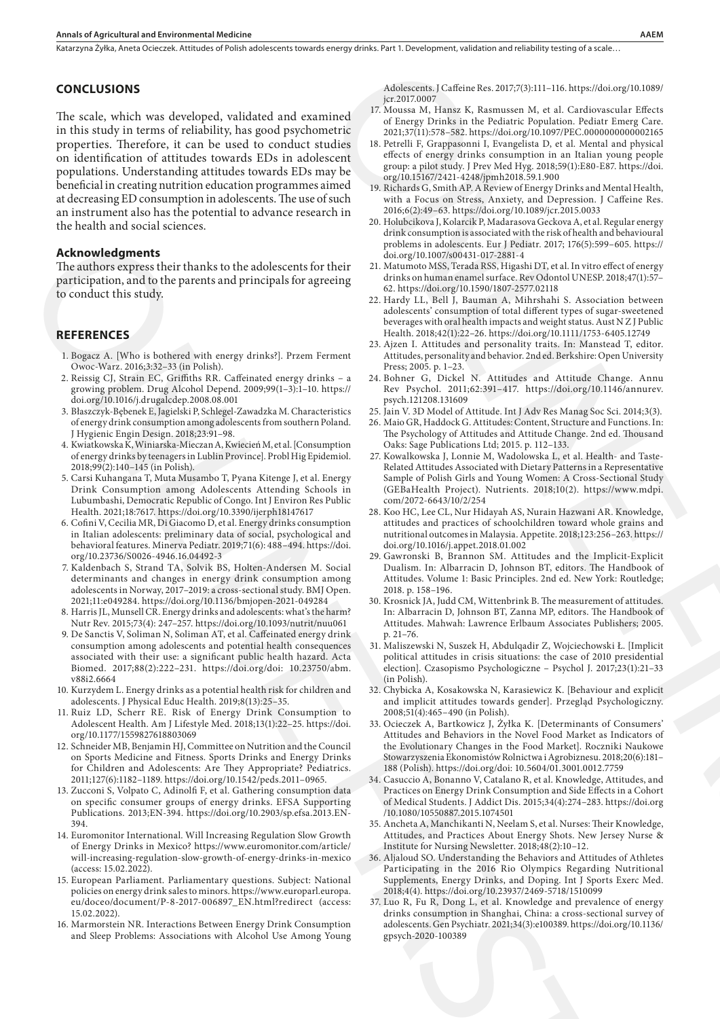#### **CONCLUSIONS**

The scale, which was developed, validated and examined in this study in terms of reliability, has good psychometric properties. Therefore, it can be used to conduct studies on identification of attitudes towards EDs in adolescent populations. Understanding attitudes towards EDs may be beneficial in creating nutrition education programmes aimed at decreasing ED consumption in adolescents. The use of such an instrument also has the potential to advance research in the health and social sciences.

#### **Acknowledgments**

The authors express their thanks to the adolescents for their participation, and to the parents and principals for agreeing to conduct this study.

## **REFERENCES**

- 1. Bogacz A. [Who is bothered with energy drinks?]. Przem Ferment Owoc-Warz. 2016;3:32–33 (in Polish).
- 2. Reissig CJ, Strain EC, Griffiths RR. Caffeinated energy drinks a growing problem. Drug Alcohol Depend. 2009;99(1–3):1–10. https:// doi.org/10.1016/j.drugalcdep.2008.08.001
- 3. Błaszczyk-Bębenek E, Jagielski P, Schlegel-Zawadzka M. Characteristics of energy drink consumption among adolescents from southern Poland. J Hygienic Engin Design. 2018;23:91–98.
- 4. Kwiatkowska K, Winiarska-Mieczan A, Kwiecień M, et al. [Consumption of energy drinks by teenagers in Lublin Province]. Probl Hig Epidemiol. 2018;99(2):140–145 (in Polish).
- 5. Carsi Kuhangana T, Muta Musambo T, Pyana Kitenge J, et al. Energy Drink Consumption among Adolescents Attending Schools in Lubumbashi, Democratic Republic of Congo. Int J Environ Res Public Health. 2021;18:7617. https://doi.org/10.3390/ijerph18147617
- 6. Cofini V, Cecilia MR, Di Giacomo D, et al. Energy drinks consumption in Italian adolescents: preliminary data of social, psychological and behavioral features. Minerva Pediatr. 2019;71(6): 488–494. https://doi. org/10.23736/S0026-4946.16.04492-3
- 7. Kaldenbach S, Strand TA, Solvik BS, Holten-Andersen M. Social determinants and changes in energy drink consumption among adolescents in Norway, 2017–2019: a cross-sectional study. BMJ Open. 2021;11:e049284. https://doi.org/10.1136/bmjopen-2021-049284
- 8. Harris JL, Munsell CR. Energy drinks and adolescents: what's the harm? Nutr Rev. 2015;73(4): 247–257. https://doi.org/10.1093/nutrit/nuu061
- 9. De Sanctis V, Soliman N, Soliman AT, et al. Caffeinated energy drink consumption among adolescents and potential health consequences associated with their use: a significant public health hazard. Acta Biomed. 2017;88(2):222–231. https://doi.org/doi: 10.23750/abm. v88i2.6664 Acknowledge method is the baseline of the state in the state in the state in the state in the state in the state in the state in the state in the state in the state in the state in the state in the state in the state in t
	- 10. Kurzydem L. Energy drinks as a potential health risk for children and adolescents. J Physical Educ Health. 2019;8(13):25–35.
	- 11. Ruiz LD, Scherr RE. Risk of Energy Drink Consumption to Adolescent Health. Am J Lifestyle Med. 2018;13(1):22–25. https://doi. org/10.1177/1559827618803069
	- 12. Schneider MB, Benjamin HJ, Committee on Nutrition and the Council on Sports Medicine and Fitness. Sports Drinks and Energy Drinks for Children and Adolescents: Are They Appropriate? Pediatrics. 2011;127(6):1182–1189. https://doi.org/10.1542/peds.2011–0965.
	- 13. Zucconi S, Volpato C, Adinolfi F, et al. Gathering consumption data on specific consumer groups of energy drinks. EFSA Supporting Publications. 2013;EN-394. https://doi.org/10.2903/sp.efsa.2013.EN-394.
	- 14. Euromonitor International. Will Increasing Regulation Slow Growth of Energy Drinks in Mexico? https://www.euromonitor.com/article/ will-increasing-regulation-slow-growth-of-energy-drinks-in-mexico (access: 15.02.2022).
	- 15. European Parliament. Parliamentary questions. Subject: National policies on energy drink sales to minors. https://www.europarl.europa. eu/doceo/document/P-8-2017-006897\_EN.html?redirect (access: 15.02.2022).
	- 16. Marmorstein NR. Interactions Between Energy Drink Consumption and Sleep Problems: Associations with Alcohol Use Among Young

Adolescents. J Caffeine Res. 2017;7(3):111–116. https://doi.org/10.1089/ jcr.2017.0007

- 17. Moussa M, Hansz K, Rasmussen M, et al. Cardiovascular Effects of Energy Drinks in the Pediatric Population. Pediatr Emerg Care. 2021;37(11):578–582. https://doi.org/10.1097/PEC.0000000000002165
- 18. Petrelli F, Grappasonni I, Evangelista D, et al. Mental and physical effects of energy drinks consumption in an Italian young people group: a pilot study. J Prev Med Hyg. 2018;59(1):E80-E87. https://doi. org/10.15167/2421-4248/jpmh2018.59.1.900
- 19. Richards G, Smith AP. A Review of Energy Drinks and Mental Health, with a Focus on Stress, Anxiety, and Depression. J Caffeine Res. 2016;6(2):49–63. https://doi.org/10.1089/jcr.2015.0033
- 20. Holubcikova J, Kolarcik P, Madarasova Geckova A, et al. Regular energy drink consumption is associated with the risk of health and behavioural problems in adolescents. Eur J Pediatr. 2017; 176(5):599–605. https:// doi.org/10.1007/s00431-017-2881-4
- 21. Matumoto MSS, Terada RSS, Higashi DT, et al. In vitro effect of energy drinks on human enamel surface. Rev Odontol UNESP. 2018;47(1):57– 62. https://doi.org/10.1590/1807-2577.02118
- 22. Hardy LL, Bell J, Bauman A, Mihrshahi S. Association between adolescents' consumption of total different types of sugar-sweetened beverages with oral health impacts and weight status. Aust N Z J Public Health. 2018;42(1):22–26. https://doi.org/10.1111/1753-6405.12749
- 23. Ajzen I. Attitudes and personality traits. In: Manstead T, editor. Attitudes, personality and behavior. 2nd ed. Berkshire: Open University Press; 2005. p. 1–23.
- 24. Bohner G, Dickel N. Attitudes and Attitude Change. Annu Rev Psychol. 2011;62:391–417. https://doi.org/10.1146/annurev. psych.121208.131609
- 25. Jain V. 3D Model of Attitude. Int J Adv Res Manag Soc Sci. 2014;3(3).
- 26. Maio GR, Haddock G. Attitudes: Content, Structure and Functions. In: The Psychology of Attitudes and Attitude Change. 2nd ed. Thousand Oaks: Sage Publications Ltd; 2015. p. 112–133.
- 27. Kowalkowska J, Lonnie M, Wadolowska L, et al. Health- and Taste-Related Attitudes Associated with Dietary Patterns in a Representative Sample of Polish Girls and Young Women: A Cross-Sectional Study (GEBaHealth Project). Nutrients. 2018;10(2). https://www.mdpi. com/2072-6643/10/2/254
- 28. Koo HC, Lee CL, Nur Hidayah AS, Nurain Hazwani AR. Knowledge, attitudes and practices of schoolchildren toward whole grains and nutritional outcomes in Malaysia. Appetite. 2018;123:256–263. https:// doi.org/10.1016/j.appet.2018.01.002
- 29. Gawronski B, Brannon SM. Attitudes and the Implicit-Explicit Dualism. In: Albarracin D, Johnson BT, editors. The Handbook of Attitudes. Volume 1: Basic Principles. 2nd ed. New York: Routledge; 2018. p. 158–196.
- 30. Krosnick JA, Judd CM, Wittenbrink B. The measurement of attitudes. In: Albarracin D, Johnson BT, Zanna MP, editors. The Handbook of Attitudes. Mahwah: Lawrence Erlbaum Associates Publishers; 2005. p. 21–76.
- 31. Maliszewski N, Suszek H, Abdulqadir Z, Wojciechowski Ł. [Implicit political attitudes in crisis situations: the case of 2010 presidential election]. Czasopismo Psychologiczne – Psychol J. 2017;23(1):21–33 (in Polish).
- 32. Chybicka A, Kosakowska N, Karasiewicz K. [Behaviour and explicit and implicit attitudes towards gender]. Przegląd Psychologiczny. 2008;51(4):465–490 (in Polish).
- 33. Ocieczek A, Bartkowicz J, Żyłka K. [Determinants of Consumers' Attitudes and Behaviors in the Novel Food Market as Indicators of the Evolutionary Changes in the Food Market]. Roczniki Naukowe Stowarzyszenia Ekonomistów Rolnictwa i Agrobiznesu. 2018;20(6):181– 188 (Polish). https://doi.org/doi: 10.5604/01.3001.0012.7759 Adeleconts, (16febre 8es 2017/15:111-116 Istipe:Moissary10.1689/<br>
16febre 8es 2017/15:111-116 Istipe:Moissary10.1689/<br>
16febre 8.7 Remains C. Remains C. Remains C. Remains C. Remains C. Remains C. Remains C. Remains C. Re
	- 34. Casuccio A, Bonanno V, Catalano R, et al. Knowledge, Attitudes, and Practices on Energy Drink Consumption and Side Effects in a Cohort of Medical Students. J Addict Dis. 2015;34(4):274–283. https://doi.org /10.1080/10550887.2015.1074501
	- 35. Ancheta A, Manchikanti N, Neelam S, et al. Nurses: Their Knowledge, Attitudes, and Practices About Energy Shots. New Jersey Nurse & Institute for Nursing Newsletter. 2018;48(2):10–12.
	- 36. Aljaloud SO. Understanding the Behaviors and Attitudes of Athletes Participating in the 2016 Rio Olympics Regarding Nutritional Supplements, Energy Drinks, and Doping. Int J Sports Exerc Med. 2018;4(4). https://doi.org/10.23937/2469-5718/1510099
	- 37. Luo R, Fu R, Dong L, et al. Knowledge and prevalence of energy drinks consumption in Shanghai, China: a cross-sectional survey of adolescents. Gen Psychiatr. 2021;34(3):e100389. https://doi.org/10.1136/ gpsych-2020-100389